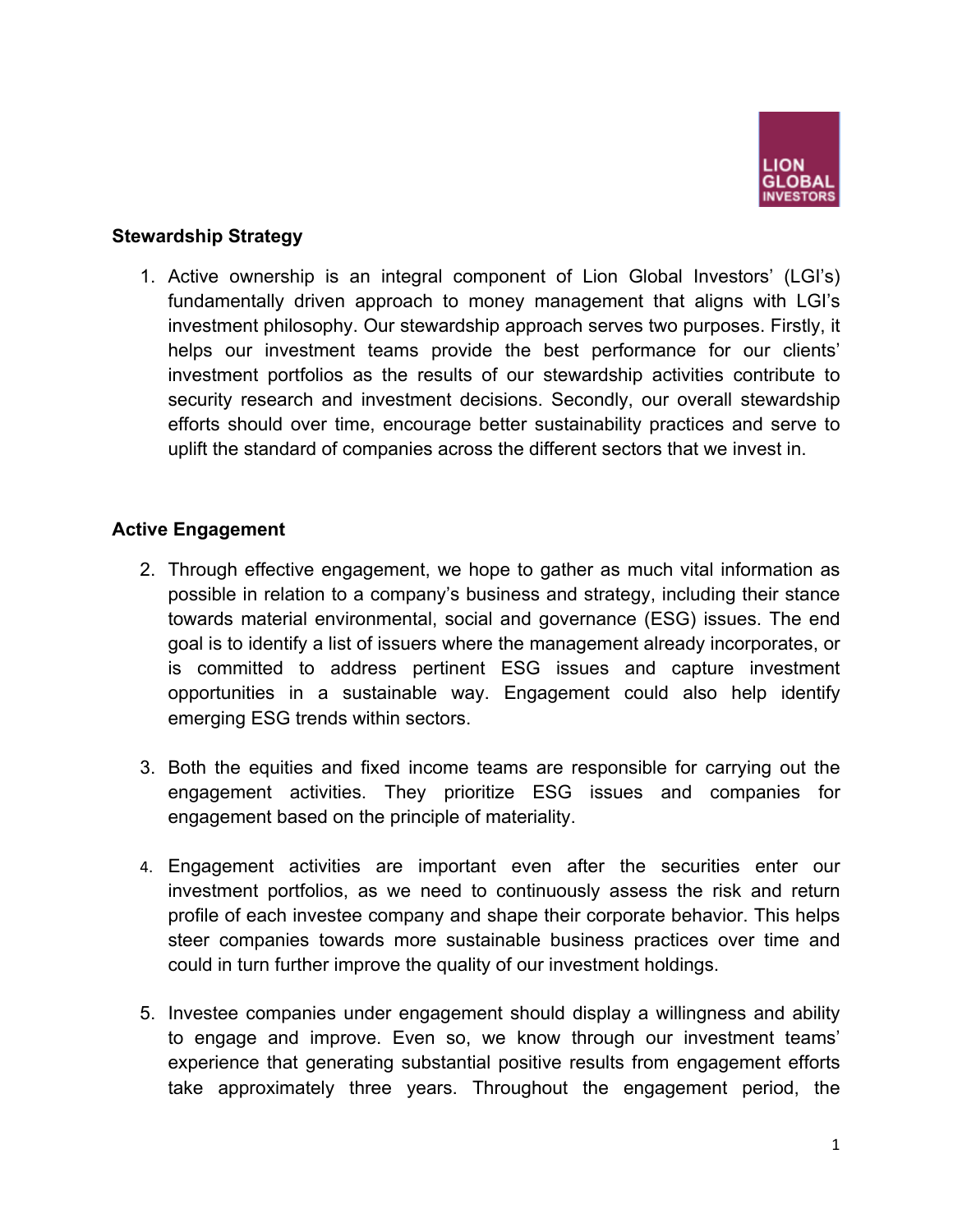

# **Stewardship Strategy**

1. Active ownership is an integral component of Lion Global Investors' (LGI's) fundamentally driven approach to money management that aligns with LGI's investment philosophy. Our stewardship approach serves two purposes. Firstly, it helps our investment teams provide the best performance for our clients' investment portfolios as the results of our stewardship activities contribute to security research and investment decisions. Secondly, our overall stewardship efforts should over time, encourage better sustainability practices and serve to uplift the standard of companies across the different sectors that we invest in.

### **Active Engagement**

- 2. Through effective engagement, we hope to gather as much vital information as possible in relation to a company's business and strategy, including their stance towards material environmental, social and governance (ESG) issues. The end goal is to identify a list of issuers where the management already incorporates, or is committed to address pertinent ESG issues and capture investment opportunities in a sustainable way. Engagement could also help identify emerging ESG trends within sectors.
- 3. Both the equities and fixed income teams are responsible for carrying out the engagement activities. They prioritize ESG issues and companies for engagement based on the principle of materiality.
- 4. Engagement activities are important even after the securities enter our investment portfolios, as we need to continuously assess the risk and return profile of each investee company and shape their corporate behavior. This helps steer companies towards more sustainable business practices over time and could in turn further improve the quality of our investment holdings.
- 5. Investee companies under engagement should display a willingness and ability to engage and improve. Even so, we know through our investment teams' experience that generating substantial positive results from engagement efforts take approximately three years. Throughout the engagement period, the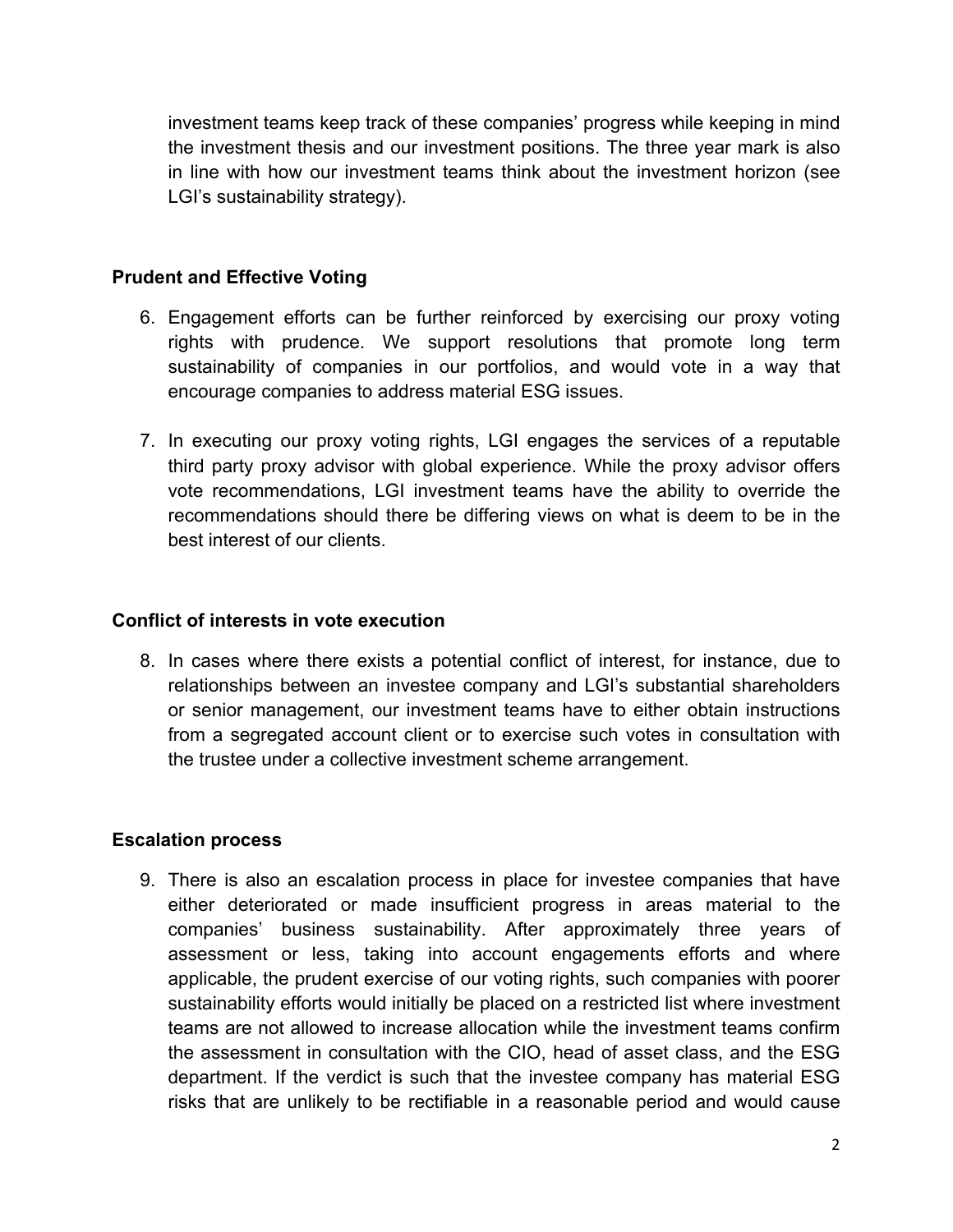investment teams keep track of these companies' progress while keeping in mind the investment thesis and our investment positions. The three year mark is also in line with how our investment teams think about the investment horizon (see LGI's sustainability strategy).

## **Prudent and Effective Voting**

- 6. Engagement efforts can be further reinforced by exercising our proxy voting rights with prudence. We support resolutions that promote long term sustainability of companies in our portfolios, and would vote in a way that encourage companies to address material ESG issues.
- 7. In executing our proxy voting rights, LGI engages the services of a reputable third party proxy advisor with global experience. While the proxy advisor offers vote recommendations, LGI investment teams have the ability to override the recommendations should there be differing views on what is deem to be in the best interest of our clients.

### **Conflict of interests in vote execution**

8. In cases where there exists a potential conflict of interest, for instance, due to relationships between an investee company and LGI's substantial shareholders or senior management, our investment teams have to either obtain instructions from a segregated account client or to exercise such votes in consultation with the trustee under a collective investment scheme arrangement.

#### **Escalation process**

9. There is also an escalation process in place for investee companies that have either deteriorated or made insufficient progress in areas material to the companies' business sustainability. After approximately three years of assessment or less, taking into account engagements efforts and where applicable, the prudent exercise of our voting rights, such companies with poorer sustainability efforts would initially be placed on a restricted list where investment teams are not allowed to increase allocation while the investment teams confirm the assessment in consultation with the CIO, head of asset class, and the ESG department. If the verdict is such that the investee company has material ESG risks that are unlikely to be rectifiable in a reasonable period and would cause